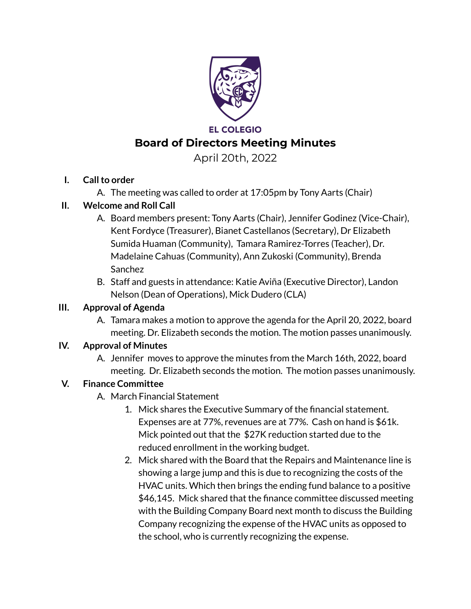

# **EL COLEGIO Board of Directors Meeting Minutes**

April 20th, 2022

# **I. Callto order**

A. The meeting was called to order at 17:05pm by Tony Aarts (Chair)

# **II. Welcome and Roll Call**

- A. Board members present: Tony Aarts (Chair), Jennifer Godinez (Vice-Chair), Kent Fordyce (Treasurer), Bianet Castellanos (Secretary), Dr Elizabeth Sumida Huaman (Community), Tamara Ramirez-Torres (Teacher), Dr. Madelaine Cahuas (Community), Ann Zukoski (Community), Brenda Sanchez
- B. Staff and guests in attendance: Katie Aviña (Executive Director), Landon Nelson (Dean of Operations), Mick Dudero (CLA)

# **III. Approval of Agenda**

A. Tamara makes a motion to approve the agenda for the April 20, 2022, board meeting. Dr. Elizabeth seconds the motion. The motion passes unanimously.

# **IV. Approval of Minutes**

A. Jennifer moves to approve the minutes from the March 16th, 2022, board meeting. Dr. Elizabeth seconds the motion. The motion passes unanimously.

# **V. Finance Committee**

- A. March Financial Statement
	- 1. Mick shares the Executive Summary of the financial statement. Expenses are at 77%, revenues are at 77%. Cash on hand is \$61k. Mick pointed out that the \$27K reduction started due to the reduced enrollment in the working budget.
	- 2. Mick shared with the Board that the Repairs and Maintenance line is showing a large jump and this is due to recognizing the costs of the HVAC units. Which then brings the ending fund balance to a positive \$46,145. Mick shared that the finance committee discussed meeting with the Building Company Board next month to discuss the Building Company recognizing the expense of the HVAC units as opposed to the school, who is currently recognizing the expense.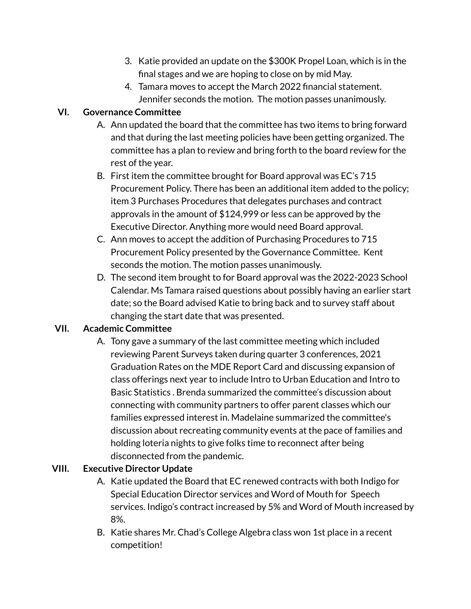- 3. Katie provided an update on the \$300K Propel Loan, which is in the final stages and we are hoping to close on by mid May.
- 4. Tamara moves to accept the March 2022 financial statement. Jennifer seconds the motion. The motion passes unanimously.

## **VI. Governance Committee**

- A. Ann updated the board that the committee has two items to bring forward and that during the last meeting policies have been getting organized. The committee has a plan to review and bring forth to the board review for the rest of the year.
- B. First item the committee brought for Board approval was EC's 715 Procurement Policy. There has been an additional item added to the policy; item 3 Purchases Procedures that delegates purchases and contract approvals in the amount of \$124,999 or less can be approved by the Executive Director. Anything more would need Board approval.
- C. Ann moves to accept the addition of Purchasing Procedures to 715 Procurement Policy presented by the Governance Committee. Kent seconds the motion. The motion passes unanimously.
- D. The second item brought to for Board approval was the 2022-2023 School Calendar. Ms Tamara raised questions about possibly having an earlier start date; so the Board advised Katie to bring back and to survey staff about changing the start date that was presented.

### **VII. Academic Committee**

A. Tony gave a summary of the last committee meeting which included reviewing Parent Surveys taken during quarter 3 conferences, 2021 Graduation Rates on the MDE Report Card and discussing expansion of class offerings next year to include Intro to Urban Education and Intro to Basic Statistics . Brenda summarized the committee's discussion about connecting with community partners to offer parent classes which our families expressed interest in. Madelaine summarized the committee's discussion about recreating community events at the pace of families and holding loteria nights to give folks time to reconnect after being disconnected from the pandemic.

# **VIII. Executive Director Update**

- A. Katie updated the Board that EC renewed contracts with both Indigo for Special Education Director services and Word of Mouth for Speech services. Indigo's contract increased by 5% and Word of Mouth increased by 8%.
- B. Katie shares Mr. Chad's College Algebra class won 1st place in a recent competition!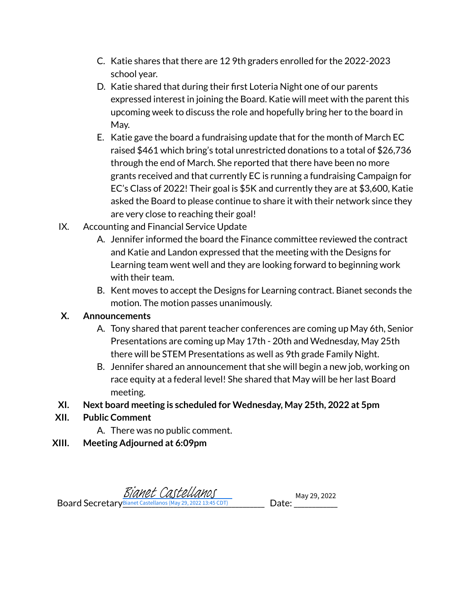- C. Katie shares that there are 12 9th graders enrolled for the 2022-2023 school year.
- D. Katie shared that during their first Loteria Night one of our parents expressed interest in joining the Board. Katie will meet with the parent this upcoming week to discuss the role and hopefully bring her to the board in May.
- E. Katie gave the board a fundraising update that for the month of March EC raised \$461 which bring's total unrestricted donations to a total of \$26,736 through the end of March. She reported that there have been no more grants received and that currently EC is running a fundraising Campaign for EC's Class of 2022! Their goal is \$5K and currently they are at \$3,600, Katie asked the Board to please continue to share it with their network since they are very close to reaching their goal!
- IX. Accounting and Financial Service Update
	- A. Jennifer informed the board the Finance committee reviewed the contract and Katie and Landon expressed that the meeting with the Designs for Learning team went well and they are looking forward to beginning work with their team.
	- B. Kent moves to accept the Designs for Learning contract. Bianet seconds the motion. The motion passes unanimously.

# **X. Announcements**

- A. Tony shared that parent teacher conferences are coming up May 6th, Senior Presentations are coming up May 17th - 20th and Wednesday, May 25th there will be STEM Presentations as well as 9th grade Family Night.
- B. Jennifer shared an announcement that she will begin a new job, working on race equity at a federal level! She shared that May will be her last Board meeting.
- **XI. Next board meeting is scheduled for Wednesday, May 25th, 2022 at 5pm**
- **XII. Public Comment**
	- A. There was no public comment.
- **XIII. Meeting Adjourned at 6:09pm**

**Board Secretary Bianet Caste** [Bianet Castellanos](https://na2.documents.adobe.com/verifier?tx=CBJCHBCAABAAs0ISXZnpHd50q1r87KpmoOLgVlDzcwFM) May 29, 2022

Bianet Castellanos (May 29, 2022 13:45 CDT) \_\_\_\_\_\_\_\_\_\_\_\_\_\_\_\_\_\_\_\_\_\_\_\_\_\_\_\_\_\_\_\_\_\_\_\_\_\_\_ Date:\_\_\_\_\_\_\_\_\_\_\_\_